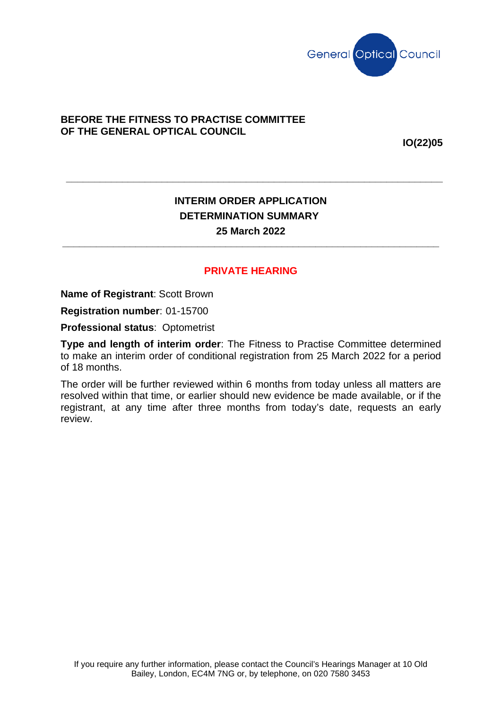

## **BEFORE THE FITNESS TO PRACTISE COMMITTEE OF THE GENERAL OPTICAL COUNCIL**

**IO(22)05**

## **INTERIM ORDER APPLICATION DETERMINATION SUMMARY 25 March 2022**

**\_\_\_\_\_\_\_\_\_\_\_\_\_\_\_\_\_\_\_\_\_\_\_\_\_\_\_\_\_\_\_\_\_\_\_\_\_\_\_\_\_\_\_\_\_\_\_\_\_\_\_\_\_\_\_\_\_\_\_\_\_\_\_\_\_\_\_**

**\_\_\_\_\_\_\_\_\_\_\_\_\_\_\_\_\_\_\_\_\_\_\_\_\_\_\_\_\_\_\_\_\_\_\_\_\_\_\_\_\_\_\_\_\_\_\_\_\_\_\_\_\_\_\_\_\_\_\_\_\_\_\_\_\_\_\_**

## **PRIVATE HEARING**

**Name of Registrant**: Scott Brown

**Registration number**: 01-15700

**Professional status**: Optometrist

**Type and length of interim order**: The Fitness to Practise Committee determined to make an interim order of conditional registration from 25 March 2022 for a period of 18 months.

The order will be further reviewed within 6 months from today unless all matters are resolved within that time, or earlier should new evidence be made available, or if the registrant, at any time after three months from today's date, requests an early review.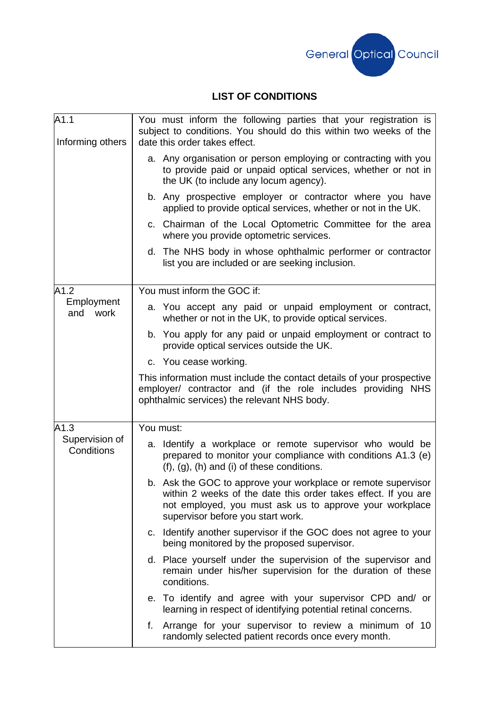

## **LIST OF CONDITIONS**

| A1.1<br>Informing others             | You must inform the following parties that your registration is<br>subject to conditions. You should do this within two weeks of the<br>date this order takes effect.                                                           |
|--------------------------------------|---------------------------------------------------------------------------------------------------------------------------------------------------------------------------------------------------------------------------------|
|                                      | a. Any organisation or person employing or contracting with you<br>to provide paid or unpaid optical services, whether or not in<br>the UK (to include any locum agency).                                                       |
|                                      | b. Any prospective employer or contractor where you have<br>applied to provide optical services, whether or not in the UK.                                                                                                      |
|                                      | c. Chairman of the Local Optometric Committee for the area<br>where you provide optometric services.                                                                                                                            |
|                                      | d. The NHS body in whose ophthalmic performer or contractor<br>list you are included or are seeking inclusion.                                                                                                                  |
| A1.2<br>Employment<br>and<br>work    | You must inform the GOC if:                                                                                                                                                                                                     |
|                                      | a. You accept any paid or unpaid employment or contract,<br>whether or not in the UK, to provide optical services.                                                                                                              |
|                                      | b. You apply for any paid or unpaid employment or contract to<br>provide optical services outside the UK.                                                                                                                       |
|                                      | c. You cease working.                                                                                                                                                                                                           |
|                                      | This information must include the contact details of your prospective<br>employer/ contractor and (if the role includes providing NHS<br>ophthalmic services) the relevant NHS body.                                            |
| A1.3<br>Supervision of<br>Conditions | You must:                                                                                                                                                                                                                       |
|                                      | a. Identify a workplace or remote supervisor who would be<br>prepared to monitor your compliance with conditions A1.3 (e)<br>$(f)$ , $(g)$ , $(h)$ and $(i)$ of these conditions.                                               |
|                                      | b. Ask the GOC to approve your workplace or remote supervisor<br>within 2 weeks of the date this order takes effect. If you are<br>not employed, you must ask us to approve your workplace<br>supervisor before you start work. |
|                                      | c. Identify another supervisor if the GOC does not agree to your<br>being monitored by the proposed supervisor.                                                                                                                 |
|                                      | d. Place yourself under the supervision of the supervisor and<br>remain under his/her supervision for the duration of these<br>conditions.                                                                                      |
|                                      | e. To identify and agree with your supervisor CPD and/ or<br>learning in respect of identifying potential retinal concerns.                                                                                                     |
|                                      | f. Arrange for your supervisor to review a minimum of 10<br>randomly selected patient records once every month.                                                                                                                 |